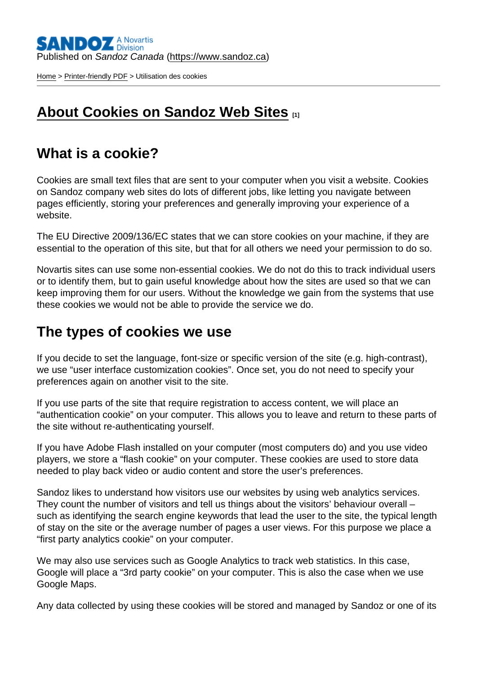[Home](https://www.sandoz.ca/en) > [Printer-friendly PDF](https://www.sandoz.ca/en/printpdf) > Utilisation des cookies

## [About Cookies on Sandoz Web Sites](https://www.sandoz.ca/en/about-cookies) [1]

## What is a cookie?

Cookies are small text files that are sent to your computer when you visit a website. Cookies on Sandoz company web sites do lots of different jobs, like letting you navigate between pages efficiently, storing your preferences and generally improving your experience of a website.

The EU Directive 2009/136/EC states that we can store cookies on your machine, if they are essential to the operation of this site, but that for all others we need your permission to do so.

Novartis sites can use some non-essential cookies. We do not do this to track individual users or to identify them, but to gain useful knowledge about how the sites are used so that we can keep improving them for our users. Without the knowledge we gain from the systems that use these cookies we would not be able to provide the service we do.

## The types of cookies we use

If you decide to set the language, font-size or specific version of the site (e.g. high-contrast), we use "user interface customization cookies". Once set, you do not need to specify your preferences again on another visit to the site.

If you use parts of the site that require registration to access content, we will place an "authentication cookie" on your computer. This allows you to leave and return to these parts of the site without re-authenticating yourself.

If you have Adobe Flash installed on your computer (most computers do) and you use video players, we store a "flash cookie" on your computer. These cookies are used to store data needed to play back video or audio content and store the user's preferences.

Sandoz likes to understand how visitors use our websites by using web analytics services. They count the number of visitors and tell us things about the visitors' behaviour overall – such as identifying the search engine keywords that lead the user to the site, the typical length of stay on the site or the average number of pages a user views. For this purpose we place a "first party analytics cookie" on your computer.

We may also use services such as Google Analytics to track web statistics. In this case, Google will place a "3rd party cookie" on your computer. This is also the case when we use Google Maps.

Any data collected by using these cookies will be stored and managed by Sandoz or one of its